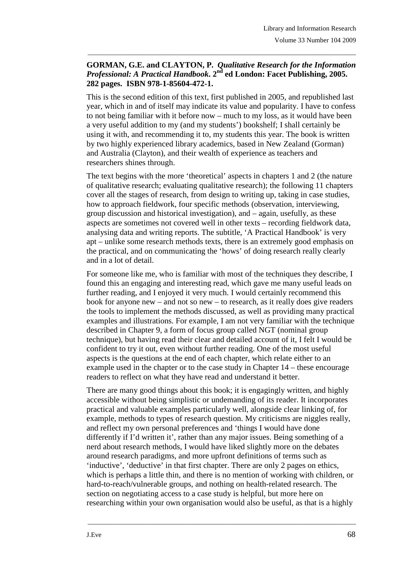## **GORMAN, G.E. and CLAYTON, P.** *Qualitative Research for the Information Professional: A Practical Handbook***. 2nd ed London: Facet Publishing, 2005. 282 pages. ISBN 978-1-85604-472-1.**

\_\_\_\_\_\_\_\_\_\_\_\_\_\_\_\_\_\_\_\_\_\_\_\_\_\_\_\_\_\_\_\_\_\_\_\_\_\_\_\_\_\_\_\_\_\_\_\_\_\_\_\_\_\_\_\_\_\_\_\_\_\_\_\_\_\_\_\_\_\_\_\_\_\_\_\_\_\_\_

This is the second edition of this text, first published in 2005, and republished last year, which in and of itself may indicate its value and popularity. I have to confess to not being familiar with it before now – much to my loss, as it would have been a very useful addition to my (and my students') bookshelf; I shall certainly be using it with, and recommending it to, my students this year. The book is written by two highly experienced library academics, based in New Zealand (Gorman) and Australia (Clayton), and their wealth of experience as teachers and researchers shines through.

The text begins with the more 'theoretical' aspects in chapters 1 and 2 (the nature of qualitative research; evaluating qualitative research); the following 11 chapters cover all the stages of research, from design to writing up, taking in case studies, how to approach fieldwork, four specific methods (observation, interviewing, group discussion and historical investigation), and – again, usefully, as these aspects are sometimes not covered well in other texts – recording fieldwork data, analysing data and writing reports. The subtitle, 'A Practical Handbook' is very apt – unlike some research methods texts, there is an extremely good emphasis on the practical, and on communicating the 'hows' of doing research really clearly and in a lot of detail.

For someone like me, who is familiar with most of the techniques they describe, I found this an engaging and interesting read, which gave me many useful leads on further reading, and I enjoyed it very much. I would certainly recommend this book for anyone new – and not so new – to research, as it really does give readers the tools to implement the methods discussed, as well as providing many practical examples and illustrations. For example, I am not very familiar with the technique described in Chapter 9, a form of focus group called NGT (nominal group technique), but having read their clear and detailed account of it, I felt I would be confident to try it out, even without further reading. One of the most useful aspects is the questions at the end of each chapter, which relate either to an example used in the chapter or to the case study in Chapter 14 – these encourage readers to reflect on what they have read and understand it better.

There are many good things about this book; it is engagingly written, and highly accessible without being simplistic or undemanding of its reader. It incorporates practical and valuable examples particularly well, alongside clear linking of, for example, methods to types of research question. My criticisms are niggles really, and reflect my own personal preferences and 'things I would have done differently if I'd written it', rather than any major issues. Being something of a nerd about research methods, I would have liked slightly more on the debates around research paradigms, and more upfront definitions of terms such as 'inductive', 'deductive' in that first chapter. There are only 2 pages on ethics, which is perhaps a little thin, and there is no mention of working with children, or hard-to-reach/vulnerable groups, and nothing on health-related research. The section on negotiating access to a case study is helpful, but more here on researching within your own organisation would also be useful, as that is a highly

\_\_\_\_\_\_\_\_\_\_\_\_\_\_\_\_\_\_\_\_\_\_\_\_\_\_\_\_\_\_\_\_\_\_\_\_\_\_\_\_\_\_\_\_\_\_\_\_\_\_\_\_\_\_\_\_\_\_\_\_\_\_\_\_\_\_\_\_\_\_\_\_\_\_\_\_\_\_\_